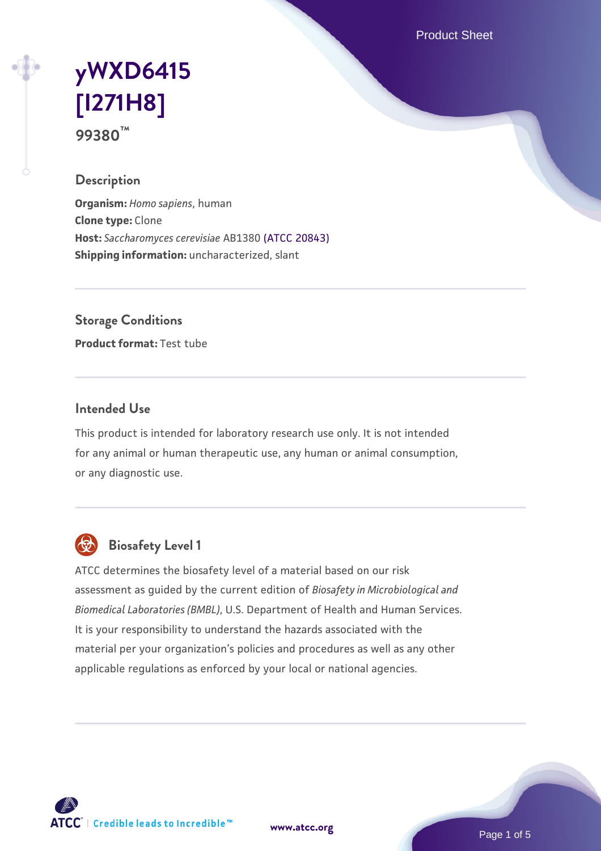Product Sheet

# **[yWXD6415](https://www.atcc.org/products/99380) [\[I271H8\]](https://www.atcc.org/products/99380) 99380™**

## **Description**

**Organism:** *Homo sapiens*, human **Clone type:** Clone **Host:** *Saccharomyces cerevisiae* AB1380 [\(ATCC 20843\)](https://www.atcc.org/products/20843) **Shipping information:** uncharacterized, slant

**Storage Conditions**

**Product format:** Test tube

#### **Intended Use**

This product is intended for laboratory research use only. It is not intended for any animal or human therapeutic use, any human or animal consumption, or any diagnostic use.



## **Biosafety Level 1**

ATCC determines the biosafety level of a material based on our risk assessment as guided by the current edition of *Biosafety in Microbiological and Biomedical Laboratories (BMBL)*, U.S. Department of Health and Human Services. It is your responsibility to understand the hazards associated with the material per your organization's policies and procedures as well as any other applicable regulations as enforced by your local or national agencies.

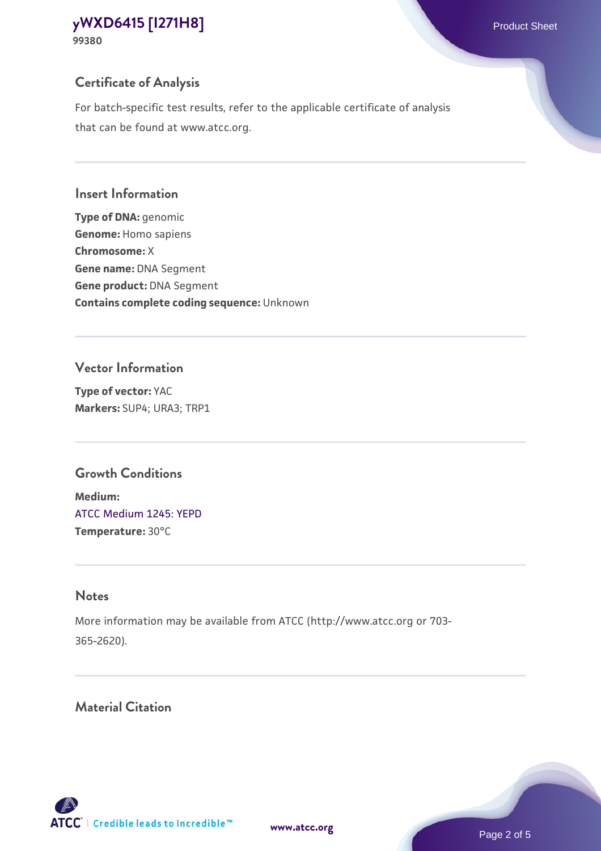## **Certificate of Analysis**

For batch-specific test results, refer to the applicable certificate of analysis that can be found at www.atcc.org.

## **Insert Information**

**Type of DNA:** genomic **Genome:** Homo sapiens **Chromosome:** X **Gene name:** DNA Segment **Gene product:** DNA Segment **Contains complete coding sequence:** Unknown

## **Vector Information**

**Type of vector:** YAC **Markers:** SUP4; URA3; TRP1

## **Growth Conditions**

**Medium:**  [ATCC Medium 1245: YEPD](https://www.atcc.org/-/media/product-assets/documents/microbial-media-formulations/1/2/4/5/atcc-medium-1245.pdf?rev=705ca55d1b6f490a808a965d5c072196) **Temperature:** 30°C

## **Notes**

More information may be available from ATCC (http://www.atcc.org or 703- 365-2620).

## **Material Citation**

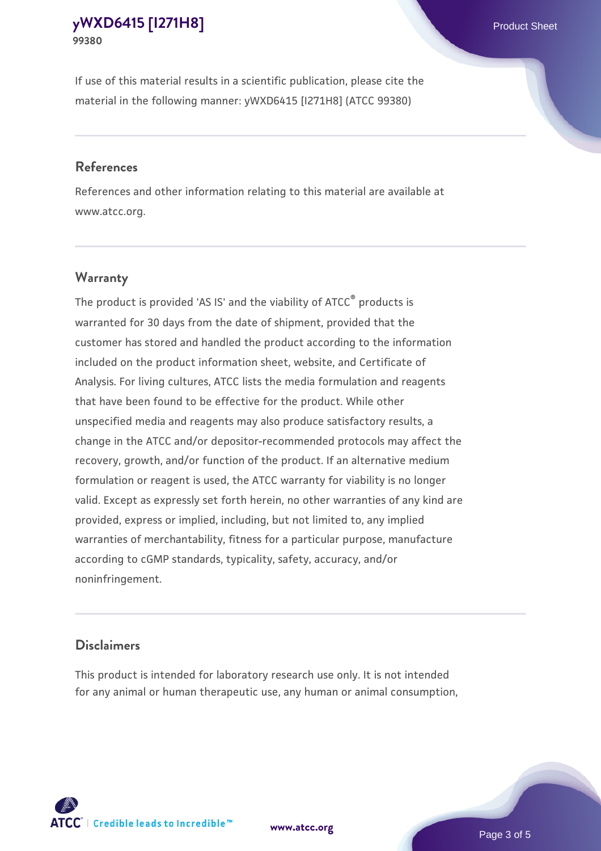If use of this material results in a scientific publication, please cite the material in the following manner: yWXD6415 [I271H8] (ATCC 99380)

#### **References**

References and other information relating to this material are available at www.atcc.org.

## **Warranty**

The product is provided 'AS IS' and the viability of  $ATCC<sup>®</sup>$  products is warranted for 30 days from the date of shipment, provided that the customer has stored and handled the product according to the information included on the product information sheet, website, and Certificate of Analysis. For living cultures, ATCC lists the media formulation and reagents that have been found to be effective for the product. While other unspecified media and reagents may also produce satisfactory results, a change in the ATCC and/or depositor-recommended protocols may affect the recovery, growth, and/or function of the product. If an alternative medium formulation or reagent is used, the ATCC warranty for viability is no longer valid. Except as expressly set forth herein, no other warranties of any kind are provided, express or implied, including, but not limited to, any implied warranties of merchantability, fitness for a particular purpose, manufacture according to cGMP standards, typicality, safety, accuracy, and/or noninfringement.

#### **Disclaimers**

This product is intended for laboratory research use only. It is not intended for any animal or human therapeutic use, any human or animal consumption,





Page 3 of 5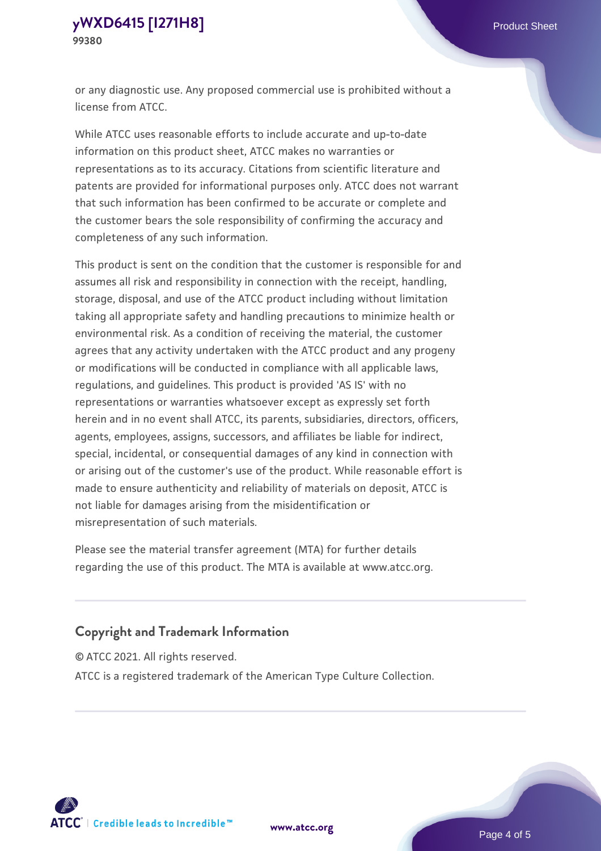or any diagnostic use. Any proposed commercial use is prohibited without a license from ATCC.

While ATCC uses reasonable efforts to include accurate and up-to-date information on this product sheet, ATCC makes no warranties or representations as to its accuracy. Citations from scientific literature and patents are provided for informational purposes only. ATCC does not warrant that such information has been confirmed to be accurate or complete and the customer bears the sole responsibility of confirming the accuracy and completeness of any such information.

This product is sent on the condition that the customer is responsible for and assumes all risk and responsibility in connection with the receipt, handling, storage, disposal, and use of the ATCC product including without limitation taking all appropriate safety and handling precautions to minimize health or environmental risk. As a condition of receiving the material, the customer agrees that any activity undertaken with the ATCC product and any progeny or modifications will be conducted in compliance with all applicable laws, regulations, and guidelines. This product is provided 'AS IS' with no representations or warranties whatsoever except as expressly set forth herein and in no event shall ATCC, its parents, subsidiaries, directors, officers, agents, employees, assigns, successors, and affiliates be liable for indirect, special, incidental, or consequential damages of any kind in connection with or arising out of the customer's use of the product. While reasonable effort is made to ensure authenticity and reliability of materials on deposit, ATCC is not liable for damages arising from the misidentification or misrepresentation of such materials.

Please see the material transfer agreement (MTA) for further details regarding the use of this product. The MTA is available at www.atcc.org.

## **Copyright and Trademark Information**

© ATCC 2021. All rights reserved.

ATCC is a registered trademark of the American Type Culture Collection.



**[www.atcc.org](http://www.atcc.org)**